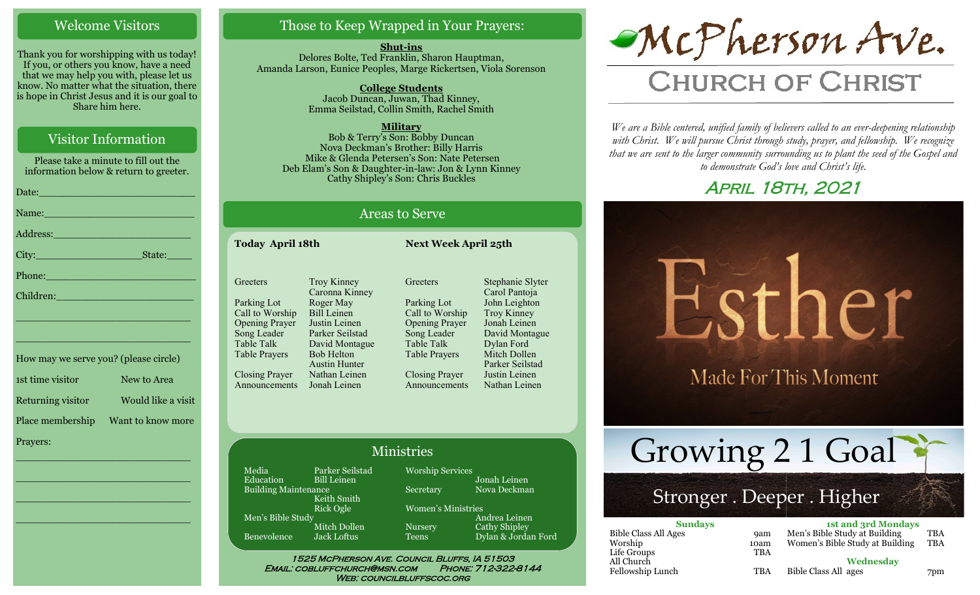#### Welcome Visitors

Thank you for worshipping with us today! If you, or others you know, have a need that we may help you with, please let us know. No matter what the situation, there is hope in Christ Jesus and it is our goal to Share him here.

## Visitor Information

Please take a minute to fill out the information below & return to greeter. Date:\_\_\_\_\_\_\_\_\_\_\_\_\_\_\_\_\_\_\_\_\_\_\_\_\_ Name: Address:\_\_\_\_\_\_\_\_\_\_\_\_\_\_\_\_\_\_\_\_\_\_ City:\_\_\_\_\_\_\_\_\_\_\_\_\_\_\_\_\_State:\_\_\_\_ Phone:\_\_\_\_\_\_\_\_\_\_\_\_\_\_\_\_\_\_\_\_\_\_\_\_ Children:

How may we serve you? (please circle) 1st time visitor New to Area Returning visitor Would like a visit Place membership Want to know more Prayers:

\_\_\_\_\_\_\_\_\_\_\_\_\_\_\_\_\_\_\_\_\_\_\_\_\_\_\_\_

\_\_\_\_\_\_\_\_\_\_\_\_\_\_\_\_\_\_\_\_\_\_\_\_\_\_\_\_

\_\_\_\_\_\_\_\_\_\_\_\_\_\_\_\_\_\_\_\_\_\_\_\_\_\_\_\_

\_\_\_\_\_\_\_\_\_\_\_\_\_\_\_\_\_\_\_\_\_\_\_\_\_\_\_\_

\_\_\_\_\_\_\_\_\_\_\_\_\_\_\_\_\_\_\_\_\_\_\_\_\_\_\_\_

\_\_\_\_\_\_\_\_\_\_\_\_\_\_\_\_\_\_\_\_\_\_\_\_\_\_\_\_

## Those to Keep Wrapped in Your Prayers:

**Shut-ins** Delores Bolte, Ted Franklin, Sharon Hauptman, Amanda Larson, Eunice Peoples, Marge Rickertsen, Viola Sorenson

> **College Students**  Jacob Duncan, Juwan, Thad Kinney, Emma Seilstad, Collin Smith, Rachel Smith

> > **Military**

Bob & Terry's Son: Bobby Duncan Nova Deckman's Brother: Billy Harris Mike & Glenda Petersen's Son: Nate Petersen Deb Elam's Son & Daughter-in-law: Jon & Lynn Kinney Cathy Shipley's Son: Chris Buckles

# Areas to Serve

**Today April 18th Next Week April 25th**

| <b>Troy Kinney</b>   |
|----------------------|
| Caronna Kinney       |
| Roger May            |
| <b>Bill Leinen</b>   |
| Justin Leinen        |
| Parker Seilstad      |
| David Montague       |
| <b>Bob Helton</b>    |
| <b>Austin Hunter</b> |
| Nathan Leinen        |
| Jonah Leinen         |
|                      |

**Greeters** Parking Lot Call to Worship Opening Prayer Song Leader Table Talk Table Prayers Closing Prayer Announcements Stephanie Slyter Carol Pantoja John Leighton Troy Kinney Jonah Leinen David Montague Dylan Ford Mitch Dollen Parker Seilstad Justin Leinen Nathan Leinen

#### Ministries

Media Parker Seilstad<br>Education Bill Leinen Bill Leinen Building Maintenance Keith Smith Rick Ogle Men's Bible Study Mitch Dollen Benevolence Jack Loftus

Worship Services Jonah Leinen Secretary Nova Deckman Women's Ministries

Andrea Leinen Nursery Cathy Shipley Teens Dylan & Jordan Ford

1525 McPherson Ave. Council Bluffs, IA 51503 Email: cobluffchurch@msn.com Phone: 712-322-8144 WEB: COUNCILBLUFFSCOC.ORG



# **CHURCH OF CHRIST**

*We are a Bible centered, unified family of believers called to an ever-deepening relationship*  with Christ. We will pursue Christ through study, prayer, and fellowship. We recognize *that we are sent to the larger community surrounding us to plant the seed of the Gospel and to demonstrate God's love and Christ's life.*

# April 18th, 2021



# Stronger . Deeper . Higher

| <b>Sundays</b>              |            | <b>1st and 3rd Mondays</b>      |            |
|-----------------------------|------------|---------------------------------|------------|
| <b>Bible Class All Ages</b> | <b>9am</b> | Men's Bible Study at Building   | <b>TBA</b> |
| Worship                     | 10am       | Women's Bible Study at Building | TBA        |
| Life Groups                 | TBA        |                                 |            |
| All Church                  |            | Wednesday                       |            |
| Fellowship Lunch            | TBA        | Bible Class All ages            | 7pm        |